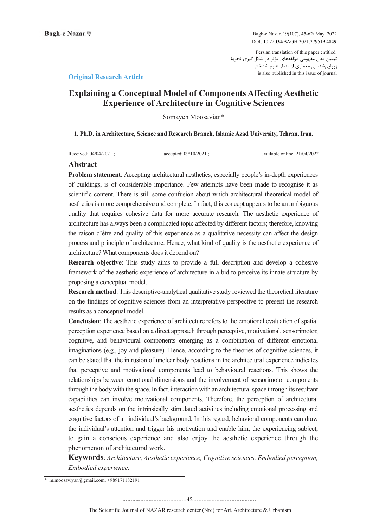Persian translation of this paper entitled: تبیین مدل مفهومی مؤلفههای مؤثر در شکلگیری تجربۀ زیباییشناسی معماری از منظر علوم شناختی is also published in this issue of journal

## **Article Research Article**

# **Explaining a Conceptual Model of Components Affecting Aesthetic Experience of Architecture in Cognitive Sciences**

Somayeh Moosavian\*

1. Ph.D. in Architecture, Science and Research Branch, Islamic Azad University, Tehran, Iran.

| Received: $04/04/2021$ : | accepted: $09/10/2021$ : | available online: 21/04/2022 |
|--------------------------|--------------------------|------------------------------|
|                          |                          |                              |

## **Abstract**

Problem statement: Accepting architectural aesthetics, especially people's in-depth experiences of buildings, is of considerable importance. Few attempts have been made to recognise it as scientific content. There is still some confusion about which architectural theoretical model of aesthetics is more comprehensive and complete. In fact, this concept appears to be an ambiguous quality that requires cohesive data for more accurate research. The aesthetic experience of architecture has always been a complicated topic affected by different factors; therefore, knowing the raison d'être and quality of this experience as a qualitative necessity can affect the design process and principle of architecture. Hence, what kind of quality is the aesthetic experience of architecture? What components does it depend on?

**Research objective:** This study aims to provide a full description and develop a cohesive framework of the aesthetic experience of architecture in a bid to perceive its innate structure by proposing a conceptual model.

Research method: This descriptive-analytical qualitative study reviewed the theoretical literature on the findings of cognitive sciences from an interpretative perspective to present the research results as a conceptual model.

**Conclusion:** The aesthetic experience of architecture refers to the emotional evaluation of spatial perception experience based on a direct approach through perceptive, motivational, sensorimotor, cognitive, and behavioural components emerging as a combination of different emotional imaginations (e.g., joy and pleasure). Hence, according to the theories of cognitive sciences, it can be stated that the intrusion of unclear body reactions in the architectural experience indicates that perceptive and motivational components lead to behavioural reactions. This shows the relationships between emotional dimensions and the involvement of sensorimotor components through the body with the space. In fact, interaction with an architectural space through its resultant capabilities can involve motivational components. Therefore, the perception of architectural aesthetics depends on the intrinsically stimulated activities including emotional processing and cognitive factors of an individual's background. In this regard, behavioral components can draw the individual's attention and trigger his motivation and enable him, the experiencing subject, to gain a conscious experience and also enjoy the aesthetic experience through the phenomenon of architectural work.

*Keywords: Architecture, Aesthetic experience, Cognitive sciences, Embodied perception, Embodied* experience.

 $*$  m.moosaviyan@gmail.com, +989171182191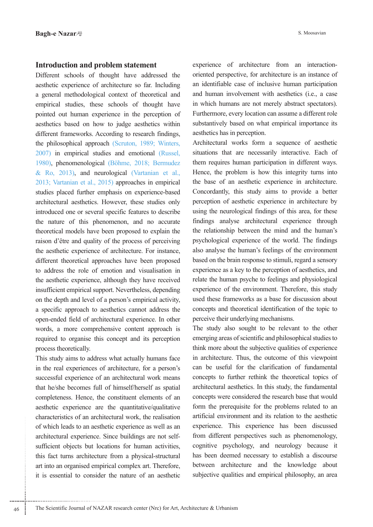## **Introduction and problem statement**

Different schools of thought have addressed the aesthetic experience of architecture so far. Including a general methodological context of theoretical and empirical studies, these schools of thought have pointed out human experience in the perception of aesthetics based on how to judge aesthetics within different frameworks. According to research findings, the philosophical approach (Scruton, 1989; Winters, 2007) in empirical studies and emotional (Russel, 1980), phenomenological (Böhme, 2018; Bermudez & Ro, 2013), and neurological (Vartanian et al., 2013; Vartanian et al., 2015) approaches in empirical studies placed further emphasis on experience-based architectural aesthetics. However, these studies only introduced one or several specific features to describe the nature of this phenomenon, and no accurate theoretical models have been proposed to explain the raison d'être and quality of the process of perceiving the aesthetic experience of architecture. For instance, different theoretical approaches have been proposed to address the role of emotion and visualisation in the aesthetic experience, although they have received insufficient empirical support. Nevertheless, depending on the depth and level of a person's empirical activity, a specific approach to aesthetics cannot address the open-ended field of architectural experience. In other words, a more comprehensive content approach is required to organise this concept and its perception process theoretically.

This study aims to address what actually humans face in the real experiences of architecture, for a person's successful experience of an architectural work means that he/she becomes full of himself/herself as spatial completeness. Hence, the constituent elements of an aesthetic experience are the quantitative/qualitative characteristics of an architectural work, the realisation of which leads to an aesthetic experience as well as an sufficient objects but locations for human activities, architectural experience. Since buildings are not selfthis fact turns architecture from a physical-structural art into an organised empirical complex art. Therefore, it is essential to consider the nature of an aesthetic oriented perspective, for architecture is an instance of experience of architecture from an interactionan identifiable case of inclusive human participation and human involvement with aesthetics (i.e., a case in which humans are not merely abstract spectators). Furthermore, every location can assume a different role substantively based on what empirical importance its aesthetics has in perception.

Architectural works form a sequence of aesthetic situations that are necessarily interactive. Each of them requires human participation in different ways. Hence, the problem is how this integrity turns into the base of an aesthetic experience in architecture. Concordantly, this study aims to provide a better perception of aesthetic experience in architecture by using the neurological findings of this area, for these findings analyse architectural experience through the relationship between the mind and the human's psychological experience of the world. The findings also analyse the human's feelings of the environment based on the brain response to stimuli, regard a sensory experience as a key to the perception of aesthetics, and relate the human psyche to feelings and physiological experience of the environment. Therefore, this study used these frameworks as a base for discussion about concepts and theoretical identification of the topic to perceive their underlying mechanisms.

The study also sought to be relevant to the other emerging areas of scientific and philosophical studies to think more about the subjective qualities of experience in architecture. Thus, the outcome of this viewpoint can be useful for the clarification of fundamental concepts to further rethink the theoretical topics of architectural aesthetics. In this study, the fundamental concepts were considered the research base that would form the prerequisite for the problems related to an artificial environment and its relation to the aesthetic experience. This experience has been discussed from different perspectives such as phenomenology, cognitive psychology, and neurology because it has been deemed necessary to establish a discourse between architecture and the knowledge about subjective qualities and empirical philosophy, an area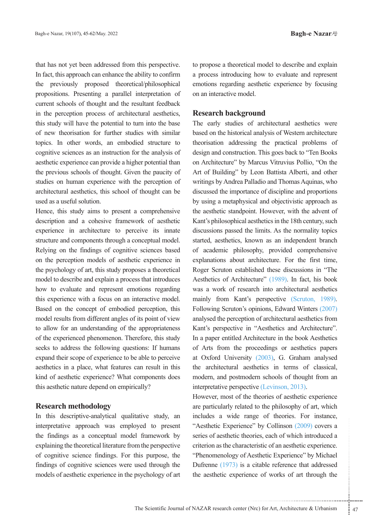that has not yet been addressed from this perspective. In fact, this approach can enhance the ability to confirm the previously proposed theoretical/philosophical propositions. Presenting a parallel interpretation of current schools of thought and the resultant feedback in the perception process of architectural aesthetics, this study will have the potential to turn into the base of new theorisation for further studies with similar topics. In other words, an embodied structure to cognitive sciences as an instruction for the analysis of a esthetic experience can provide a higher potential than the previous schools of thought. Given the paucity of studies on human experience with the perception of architectural aesthetics, this school of thought can be used as a useful solution.

Hence, this study aims to present a comprehensive description and a cohesive framework of aesthetic experience in architecture to perceive its innate structure and components through a conceptual model. Relying on the findings of cognitive sciences based on the perception models of aesthetic experience in the psychology of art, this study proposes a theoretical model to describe and explain a process that introduces how to evaluate and represent emotions regarding this experience with a focus on an interactive model. Based on the concept of embodied perception, this model results from different angles of its point of view to allow for an understanding of the appropriateness of the experienced phenomenon. Therefore, this study seeks to address the following questions: If humans expand their scope of experience to be able to perceive aesthetics in a place, what features can result in this kind of aesthetic experience? What components does this aesthetic nature depend on empirically?

### **methodology Research**

In this descriptive-analytical qualitative study, an interpretative approach was employed to present the findings as a conceptual model framework by explaining the theoretical literature from the perspective of cognitive science findings. For this purpose, the findings of cognitive sciences were used through the models of aesthetic experience in the psychology of art to propose a theoretical model to describe and explain a process introducing how to evaluate and represent emotions regarding aesthetic experience by focusing on an interactive model.

## **background Research**

The early studies of architectural aesthetics were based on the historical analysis of Western architecture theorisation addressing the practical problems of design and construction. This goes back to "Ten Books" on Architecture" by Marcus Vitruvius Pollio, "On the Art of Building" by Leon Battista Alberti, and other writings by Andrea Palladio and Thomas Aquinas, who discussed the importance of discipline and proportions by using a metaphysical and objectivistic approach as the aesthetic standpoint. However, with the advent of Kant's philosophical aesthetics in the 18th century, such discussions passed the limits. As the normality topics started, aesthetics, known as an independent branch of academic philosophy, provided comprehensive explanations about architecture. For the first time, Roger Scruton established these discussions in "The Aesthetics of Architecture" (1989). In fact, his book was a work of research into architectural aesthetics mainly from Kant's perspective (Scruton, 1989). Following Scruton's opinions, Edward Winters (2007) analysed the perception of architectural aesthetics from Kant's perspective in "Aesthetics and Architecture". In a paper entitled Architecture in the book Aesthetics of Arts from the proceedings or aesthetics papers at Oxford University (2003), G. Graham analysed the architectural aesthetics in terms of classical, modern, and postmodern schools of thought from an interpretative perspective (Levinson, 2013).

erience" by Collinson (2009) covers a<br>ic theories, each of which introduced a<br>haracteristic of an aesthetic experience.<br>y of Aesthetic Experience" by Michael<br>i) is a citable reference that addressed<br>perience of works of ar However, most of the theories of aesthetic experience are particularly related to the philosophy of art, which includes a wide range of theories. For instance, "Aesthetic Experience" by Collinson (2009) covers a series of aesthetic theories, each of which introduced a criterion as the characteristic of an aesthetic experience. "Phenomenology of Aesthetic Experience" by Michael Dufrenne  $(1973)$  is a citable reference that addressed the aesthetic experience of works of art through the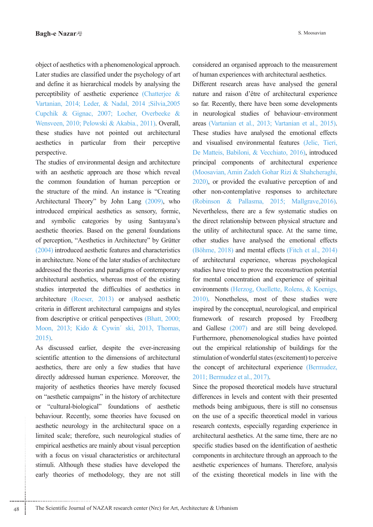object of aesthetics with a phenomenological approach. Later studies are classified under the psychology of art and define it as hierarchical models by analysing the perceptibility of aesthetic experience (Chatterjee  $\&$ Vartanian, 2014; Leder, & Nadal, 2014 ;Silvia,2005 Cupchik & Gignac, 2007; Locher, Overbeeke & Wensveen, 2010; Pelowski & Akabia., 2011). Overall, these studies have not pointed out architectural aesthetics in particular from their perceptive perspective.

The studies of environmental design and architecture with an aesthetic approach are those which reveal the common foundation of human perception or the structure of the mind. An instance is "Creating Architectural Theory" by John Lang (2009), who introduced empirical aesthetics as sensory, formic, and symbolic categories by using Santayana's aesthetic theories. Based on the general foundations of perception, "Aesthetics in Architecture" by Grütter  $(2004)$  introduced aesthetic features and characteristics in architecture. None of the later studies of architecture addressed the theories and paradigms of contemporary architectural aesthetics, whereas most of the existing studies interpreted the difficulties of aesthetics in architecture (Roeser, 2013) or analysed aesthetic criteria in different architectural campaigns and styles from descriptive or critical perspectives (Bhatt, 2000; Moon, 2013; Kido & Cywin' ski, 2013, Thomas,  $2015$ ).

As discussed earlier, despite the ever-increasing scientific attention to the dimensions of architectural aesthetics, there are only a few studies that have directly addressed human experience. Moreover, the majority of aesthetics theories have merely focused on "aesthetic campaigns" in the history of architecture or "cultural-biological" foundations of aesthetic behaviour. Recently, some theories have focused on aesthetic neurology in the architectural space on a limited scale; therefore, such neurological studies of empirical aesthetics are mainly about visual perception with a focus on visual characteristics or architectural stimuli. Although these studies have developed the early theories of methodology, they are not still considered an organised approach to the measurement of human experiences with architectural aesthetics.

Different research areas have analysed the general nature and raison d'être of architectural experience so far. Recently, there have been some developments in neurological studies of behaviour-environment areas (Vartanian et al., 2013; Vartanian et al., 2015). These studies have analysed the emotional effects and visualised environmental features (Jelic, Tieri, De Matteis, Babiloni, & Vecchiato, 2016), introduced principal components of architectural experience (Moosavian, Amin Zadeh Gohar Rizi & Shahcheraghi,  $2020$ ), or provided the evaluative perception of and other non-contemplative responses to architecture (Robinson & Pallasma, 2015; Mallgrave, 2016). Nevertheless, there are a few systematic studies on the direct relationship between physical structure and the utility of architectural space. At the same time, other studies have analysed the emotional effects (Böhme,  $2018$ ) and mental effects (Fitch et al.,  $2014$ ) of architectural experience, whereas psychological studies have tried to prove the reconstruction potential for mental concentration and experience of spiritual environments (Herzog, Ouellette, Rolens, & Koenigs, 2010). Nonetheless, most of these studies were inspired by the conceptual, neurological, and empirical framework of research proposed by Freedberg and Gallese  $(2007)$  and are still being developed. Furthermore, phenomenological studies have pointed out the empirical relationship of buildings for the stimulation of wonderful states (excitement) to perceive the concept of architectural experience (Bermudez, 2011; Bermudez et al., 2017).

Since the proposed theoretical models have structural differences in levels and content with their presented methods being ambiguous, there is still no consensus on the use of a specific theoretical model in various research contexts, especially regarding experience in architectural aesthetics. At the same time, there are no specific studies based on the identification of aesthetic components in architecture through an approach to the aesthetic experiences of humans. Therefore, analysis of the existing theoretical models in line with the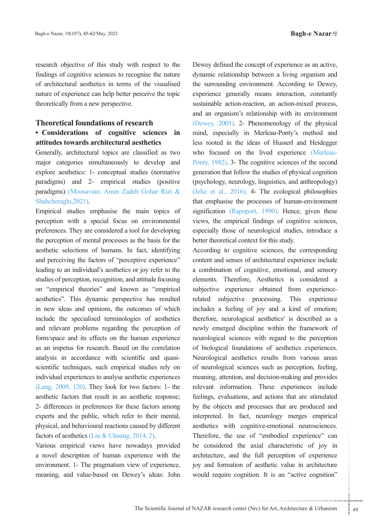research objective of this study with respect to the findings of cognitive sciences to recognise the nature of architectural aesthetics in terms of the visualised nature of experience can help better perceive the topic theoretically from a new perspective.

## **Theoretical foundations of research**

# • Considerations of cognitive sciences in attitudes towards architectural aesthetics

Generally, architectural topics are classified as two major categories simultaneously to develop and explore aesthetics: 1- conceptual studies (normative paradigms) and  $2$ - empirical studies (positive paradigms) (Moosavian, Amin Zadeh Gohar Rizi & Shahcheraghi, 2021).

Empirical studies emphasise the main topics of perception with a special focus on environmental preferences. They are considered a tool for developing the perception of mental processes as the basis for the aesthetic selections of humans. In fact, identifying and perceiving the factors of "perceptive experience" leading to an individual's aesthetics or joy refer to the studies of perception, recognition, and attitude focusing on "empirical theories" and known as "empirical aesthetics". This dynamic perspective has resulted in new ideas and opinions, the outcomes of which include the specialised terminologies of aesthetics and relevant problems regarding the perception of form/space and its effects on the human experience as an impetus for research. Based on the correlation scientific techniques, such empirical studies rely on analysis in accordance with scientific and quasiindividual experiences to analyse aesthetic experiences (Lang,  $2009$ ,  $120$ ). They look for two factors: 1- the aesthetic factors that result in an aesthetic response; 2- differences in preferences for these factors among experts and the public, which refer to their mental, physical, and behavioural reactions caused by different factors of aesthetics (Liu & Chuang, 2014, 2).

Various empirical views have nowadays provided a novel description of human experience with the environment. 1- The pragmatism view of experience, meaning, and value-based on Dewey's ideas: John

Dewey defined the concept of experience as an active, dynamic relationship between a living organism and the surrounding environment. According to Dewey, experience generally means interaction, constantly sustainable action-reaction, an action-mixed process, and an organism's relationship with its environment (Dewey,  $2005$ ). 2- Phenomenology of the physical mind, especially in Merleau-Ponty's method and less rooted in the ideas of Husserl and Heidegger Ponty, 1982). 3- The cognitive sciences of the second who focused on the lived experience (Merleaugeneration that follow the studies of physical cognition (psychology, neurology, linguistics, and anthropology) (Jelic et al.,  $2016$ ). 4- The ecological philosophies that emphasise the processes of human-environment signification (Rapoport, 1990). Hence, given these views, the empirical findings of cognitive sciences, especially those of neurological studies, introduce a better theoretical context for this study.

cognitive-emotional neurosciences.<br>use of "embodied experience" can<br>the axial characteristic of joy in<br>d the full perception of experience<br>ion of aesthetic value in architecture<br>cognition. It is an "active cognition"<br>enter According to cognitive sciences, the corresponding content and senses of architectural experience include a combination of cognitive, emotional, and sensory elements. Therefore, Aesthetics is considered a subjective experience obtained from experience-<br>related subjective processing. This experience includes a feeling of joy and a kind of emotion; therefore, neurological aesthetics<sup>1</sup> is described as a newly emerged discipline within the framework of neurological sciences with regard to the perception of biological foundations of aesthetics experiences. Neurological aesthetics results from various areas of neurological sciences such as perception, feeling, meaning, attention, and decision-making and provides relevant information. These experiences include feelings, evaluations, and actions that are stimulated by the objects and processes that are produced and interpreted. In fact, neurology merges empirical aesthetics with cognitive-emotional neurosciences. Therefore, the use of "embodied experience" can be considered the axial characteristic of joy in architecture, and the full perception of experience joy and formation of aesthetic value in architecture would require cognition. It is an "active cognition"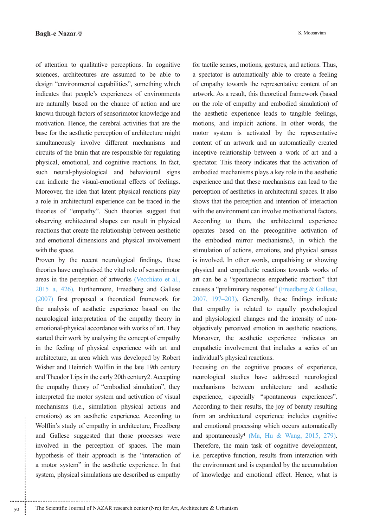of attention to qualitative perceptions. In cognitive sciences, architectures are assumed to be able to design "environmental capabilities", something which indicates that people's experiences of environments are naturally based on the chance of action and are known through factors of sensorimotor knowledge and motivation. Hence, the cerebral activities that are the base for the aesthetic perception of architecture might simultaneously involve different mechanisms and circuits of the brain that are responsible for regulating physical, emotional, and cognitive reactions. In fact, such neural-physiological and behavioural signs can indicate the visual-emotional effects of feelings. Moreover, the idea that latent physical reactions play a role in architectural experience can be traced in the theories of "empathy". Such theories suggest that observing architectural shapes can result in physical reactions that create the relationship between aesthetic and emotional dimensions and physical involvement with the space.

Proven by the recent neurological findings, these theories have emphasised the vital role of sensorimotor areas in the perception of artworks (Vecchiato et al.,  $2015$  a,  $426$ ). Furthermore, Freedberg and Gallese  $(2007)$  first proposed a theoretical framework for the analysis of aesthetic experience based on the neurological interpretation of the empathy theory in emotional-physical accordance with works of art. They started their work by analysing the concept of empathy in the feeling of physical experience with art and architecture, an area which was developed by Robert Wisher and Heinrich Wolflin in the late 19th century and Theodor Lips in the early 20th century 2. Accepting the empathy theory of "embodied simulation", they interpreted the motor system and activation of visual mechanisms (i.e., simulation physical actions and emotions) as an aesthetic experience. According to Wolflin's study of empathy in architecture, Freedberg and Gallese suggested that those processes were involved in the perception of spaces. The main hypothesis of their approach is the "interaction of a motor system" in the aesthetic experience. In that system, physical simulations are described as empathy S. Moosavian

for tactile senses, motions, gestures, and actions. Thus, a spectator is automatically able to create a feeling of empathy towards the representative content of an artwork. As a result, this theoretical framework (based on the role of empathy and embodied simulation) of the aesthetic experience leads to tangible feelings, motions, and implicit actions. In other words, the motor system is activated by the representative content of an artwork and an automatically created inceptive relationship between a work of art and a spectator. This theory indicates that the activation of embodied mechanisms plays a key role in the aesthetic experience and that these mechanisms can lead to the perception of aesthetics in architectural spaces. It also shows that the perception and intention of interaction with the environment can involve motivational factors. According to them, the architectural experience operates based on the precognitive activation of the embodied mirror mechanisms 3, in which the stimulation of actions, emotions, and physical senses is involved. In other words, empathising or showing physical and empathetic reactions towards works of art can be a "spontaneous empathetic reaction" that causes a "preliminary response" (Freedberg & Gallese,  $2007$ ,  $197-203$ ). Generally, these findings indicate that empathy is related to equally psychological objectively perceived emotion in aesthetic reactions. and physiological changes and the intensity of non-Moreover, the aesthetic experience indicates an empathetic involvement that includes a series of an individual's physical reactions.

Focusing on the cognitive process of experience, neurological studies have addressed neurological mechanisms between architecture and aesthetic experience, especially "spontaneous experiences". According to their results, the joy of beauty resulting from an architectural experience includes cognitive and emotional processing which occurs automatically and spontaneously<sup>4</sup> (Ma, Hu & Wang, 2015, 279). Therefore, the main task of cognitive development, i.e. perceptive function, results from interaction with the environment and is expanded by the accumulation of knowledge and emotional effect. Hence, what is

50 The Scientific Journal of NAZAR research center (Nrc) for Art, Architecture & Urbanism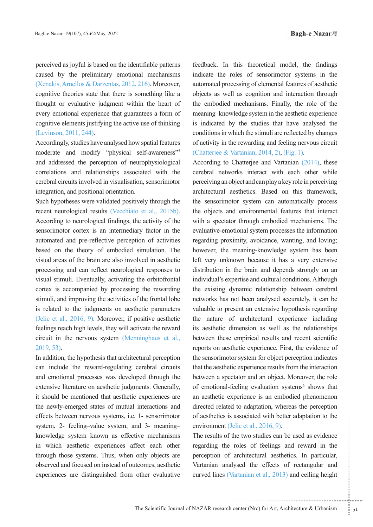perceived as joyful is based on the identifiable patterns caused by the preliminary emotional mechanisms  $(Xenakis, Arnoldos & Darzentas, 2012, 216)$ . Moreover, cognitive theories state that there is something like a thought or evaluative judgment within the heart of every emotional experience that guarantees a form of cognitive elements justifying the active use of thinking (Levinson, 2011, 244).

Accordingly, studies have analysed how spatial features moderate and modify "physical self-awareness"<sup>5</sup> and addressed the perception of neurophysiological correlations and relationships associated with the cerebral circuits involved in visualisation, sensorimotor integration, and positional orientation.

Such hypotheses were validated positively through the recent neurological results (Vecchiato et al., 2015b). According to neurological findings, the activity of the sensorimotor cortex is an intermediary factor in the automated and pre-reflective perception of activities based on the theory of embodied simulation. The visual areas of the brain are also involved in aesthetic processing and can reflect neurological responses to visual stimuli. Eventually, activating the orbitofrontal cortex is accompanied by processing the rewarding stimuli, and improving the activities of the frontal lobe is related to the judgments on aesthetic parameters (Jelic et al.,  $2016$ , 9). Moreover, if positive aesthetic feelings reach high levels, they will activate the reward circuit in the nervous system (Menninghaus et al.,  $2019, 53$ .

In addition, the hypothesis that architectural perception can include the reward-regulating cerebral circuits and emotional processes was developed through the extensive literature on aesthetic judgments. Generally, it should be mentioned that aesthetic experiences are the newly-emerged states of mutual interactions and effects between nervous systems, *i.e.* 1- sensorimotor system, 2- feeling-value system, and 3- meaningknowledge system known as effective mechanisms in which aesthetic experiences affect each other through those systems. Thus, when only objects are observed and focused on instead of outcomes, aesthetic experiences are distinguished from other evaluative

feedback. In this theoretical model, the findings indicate the roles of sensorimotor systems in the automated processing of elemental features of aesthetic objects as well as cognition and interaction through the embodied mechanisms. Finally, the role of the meaning-knowledge system in the aesthetic experience is indicated by the studies that have analysed the conditions in which the stimuli are reflected by changes of activity in the rewarding and feeling nervous circuit (Chatterjee & Vartanian, 2014, 2), (Fig. 1).

According to Chatterjee and Vartanian  $(2014)$ , these cerebral networks interact with each other while perceiving an object and can play a key role in perceiving architectural aesthetics. Based on this framework, the sensorimotor system can automatically process the objects and environmental features that interact with a spectator through embodied mechanisms. The evaluative-emotional system processes the information regarding proximity, avoidance, wanting, and loving; however, the meaning-knowledge system has been left very unknown because it has a very extensive distribution in the brain and depends strongly on an individual's expertise and cultural conditions. Although the existing dynamic relationship between cerebral networks has not been analysed accurately, it can be valuable to present an extensive hypothesis regarding the nature of architectural experience including its aesthetic dimension as well as the relationships between these empirical results and recent scientific reports on aesthetic experience. First, the evidence of the sensorimotor system for object perception indicates that the aesthetic experience results from the interaction between a spectator and an object. Moreover, the role of emotional-feeling evaluation systems<sup>6</sup> shows that an aesthetic experience is an embodied phenomenon directed related to adaptation, whereas the perception of aesthetics is associated with better adaptation to the environment (Jelic et al., 2016, 9).

The state of the state of the state of section<br>transference roles of feelings and reward in the<br>architectural aesthetics. In particular,<br>ysed the effects of rectangular and<br>urtanian et al., 2013) and ceiling height<br>transfe The results of the two studies can be used as evidence regarding the roles of feelings and reward in the perception of architectural aesthetics. In particular, Vartanian analysed the effects of rectangular and curved lines (Vartanian et al., 2013) and ceiling height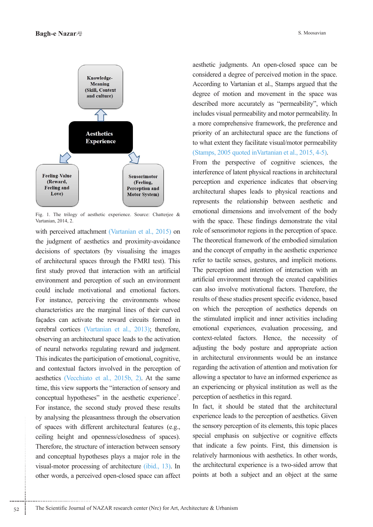

Fig. 1. The trilogy of aesthetic experience. Source: Chatterjee & Vartanian, 2014, 2.

with perceived attachment (Vartanian et al., 2015) on the judgment of aesthetics and proximity-avoidance decisions of spectators (by visualising the images of architectural spaces through the FMRI test). This first study proved that interaction with an artificial environment and perception of such an environment could include motivational and emotional factors. For instance, perceiving the environments whose characteristics are the marginal lines of their curved facades can activate the reward circuits formed in cerebral cortices (Vartanian et al., 2013); therefore, observing an architectural space leads to the activation of neural networks regulating reward and judgment. This indicates the participation of emotional, cognitive, and contextual factors involved in the perception of aesthetics (Vecchiato et al., 2015b, 2). At the same time, this view supports the "interaction of sensory and conceptual hypotheses" in the aesthetic experience<sup>7</sup>. For instance, the second study proved these results by analysing the pleasantness through the observation of spaces with different architectural features (e.g., ceiling height and openness/closedness of spaces). Therefore, the structure of interaction between sensory and conceptual hypotheses plays a major role in the visual-motor processing of architecture  $(i$ bid., 13). In other words, a perceived open-closed space can affect

aesthetic judgments. An open-closed space can be considered a degree of perceived motion in the space. According to Vartanian et al., Stamps argued that the degree of motion and movement in the space was described more accurately as "permeability", which includes visual permeability and motor permeability. In a more comprehensive framework, the preference and priority of an architectural space are the functions of to what extent they facilitate visual/motor permeability (Stamps,  $2005$  quoted inVartanian et al.,  $2015$ , 4-5).

From the perspective of cognitive sciences, the interference of latent physical reactions in architectural perception and experience indicates that observing architectural shapes leads to physical reactions and represents the relationship between aesthetic and emotional dimensions and involvement of the body with the space. These findings demonstrate the vital role of sensorimotor regions in the perception of space. The theoretical framework of the embodied simulation and the concept of empathy in the aesthetic experience refer to tactile senses, gestures, and implicit motions. The perception and intention of interaction with an artificial environment through the created capabilities can also involve motivational factors. Therefore, the results of these studies present specific evidence, based on which the perception of aesthetics depends on the stimulated implicit and inner activities including emotional experiences, evaluation processing, and context-related factors. Hence, the necessity of adjusting the body posture and appropriate action in architectural environments would be an instance regarding the activation of attention and motivation for allowing a spectator to have an informed experience as an experiencing or physical institution as well as the perception of aesthetics in this regard.

In fact, it should be stated that the architectural experience leads to the perception of aesthetics. Given the sensory perception of its elements, this topic places special emphasis on subjective or cognitive effects that indicate a few points. First, this dimension is relatively harmonious with aesthetics. In other words, the architectural experience is a two-sided arrow that points at both a subject and an object at the same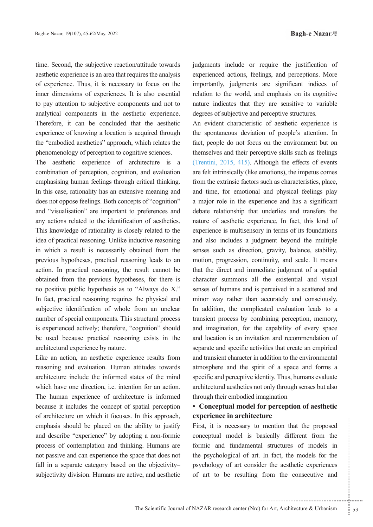time. Second, the subjective reaction/attitude towards aesthetic experience is an area that requires the analysis of experience. Thus, it is necessary to focus on the inner dimensions of experiences. It is also essential to pay attention to subjective components and not to analytical components in the aesthetic experience. Therefore, it can be concluded that the aesthetic experience of knowing a location is acquired through the "embodied aesthetics" approach, which relates the phenomenology of perception to cognitive sciences.

The aesthetic experience of architecture is a combination of perception, cognition, and evaluation emphasising human feelings through critical thinking. In this case, rationality has an extensive meaning and does not oppose feelings. Both concepts of "cognition" and "visualisation" are important to preferences and any actions related to the identification of aesthetics. This knowledge of rationality is closely related to the idea of practical reasoning. Unlike inductive reasoning in which a result is necessarily obtained from the previous hypotheses, practical reasoning leads to an action. In practical reasoning, the result cannot be obtained from the previous hypotheses, for there is no positive public hypothesis as to "Always do X." In fact, practical reasoning requires the physical and subjective identification of whole from an unclear number of special components. This structural process is experienced actively; therefore, "cognition" should be used because practical reasoning exists in the architectural experience by nature.

Like an action, an aesthetic experience results from reasoning and evaluation. Human attitudes towards architecture include the informed states of the mind which have one direction, i.e. intention for an action. The human experience of architecture is informed because it includes the concept of spatial perception of architecture on which it focuses. In this approach, emphasis should be placed on the ability to justify and describe "experience" by adopting a non-formic process of contemplation and thinking. Humans are not passive and can experience the space that does not fall in a separate category based on the objectivitysubjectivity division. Humans are active, and aesthetic

judgments include or require the justification of experienced actions, feelings, and perceptions. More importantly, judgments are significant indices of relation to the world, and emphasis on its cognitive nature indicates that they are sensitive to variable degrees of subjective and perceptive structures.

An evident characteristic of aesthetic experience is the spontaneous deviation of people's attention. In fact, people do not focus on the environment but on themselves and their perceptive skills such as feelings (Trentini,  $2015$ ,  $415$ ). Although the effects of events are felt intrinsically (like emotions), the impetus comes from the extrinsic factors such as characteristics, place, and time, for emotional and physical feelings play a major role in the experience and has a significant debate relationship that underlies and transfers the nature of aesthetic experience. In fact, this kind of experience is multisensory in terms of its foundations and also includes a judgment beyond the multiple senses such as direction, gravity, balance, stability, motion, progression, continuity, and scale. It means that the direct and immediate judgment of a spatial character summons all the existential and visual senses of humans and is perceived in a scattered and minor way rather than accurately and consciously. In addition, the complicated evaluation leads to a transient process by combining perception, memory, and imagination, for the capability of every space and location is an invitation and recommendation of separate and specific activities that create an empirical and transient character in addition to the environmental atmosphere and the spirit of a space and forms a specific and perceptive identity. Thus, humans evaluate architectural aesthetics not only through senses but also through their embodied imagination

## • Conceptual model for perception of aesthetic **architecture in experience**

The set of model is basically different from the mdamental structures of models in all of art. In fact, the models for the art consider the aesthetic experiences resulting from the consecutive and  $\ldots$ .................... First, it is necessary to mention that the proposed conceptual model is basically different from the formic and fundamental structures of models in the psychological of art. In fact, the models for the psychology of art consider the aesthetic experiences of art to be resulting from the consecutive and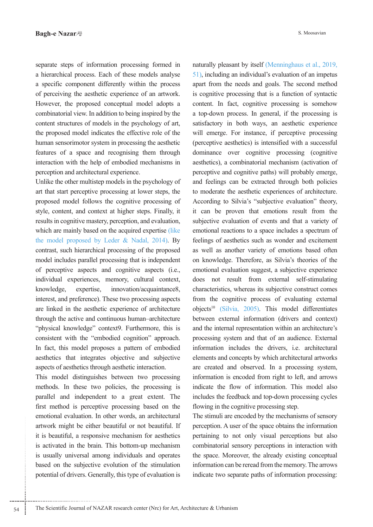separate steps of information processing formed in a hierarchical process. Each of these models analyse a specific component differently within the process of perceiving the aesthetic experience of an artwork. However, the proposed conceptual model adopts a combinatorial view. In addition to being inspired by the content structures of models in the psychology of art, the proposed model indicates the effective role of the human sensorimotor system in processing the aesthetic features of a space and recognising them through interaction with the help of embodied mechanisms in perception and architectural experience.

Unlike the other multistep models in the psychology of art that start perceptive processing at lower steps, the proposed model follows the cognitive processing of style, content, and context at higher steps. Finally, it results in cognitive mastery, perception, and evaluation, which are mainly based on the acquired expertise (like the model proposed by Leder & Nadal,  $2014$ ). By contrast, such hierarchical processing of the proposed model includes parallel processing that is independent of perceptive aspects and cognitive aspects (i.e., individual experiences, memory, cultural context, knowledge, expertise, innovation/acquaintance8, interest, and preference). These two processing aspects are linked in the aesthetic experience of architecture through the active and continuous human-architecture "physical knowledge" context9. Furthermore, this is consistent with the "embodied cognition" approach. In fact, this model proposes a pattern of embodied aesthetics that integrates objective and subjective aspects of aesthetics through aesthetic interaction.

This model distinguishes between two processing methods. In these two policies, the processing is parallel and independent to a great extent. The first method is perceptive processing based on the emotional evaluation. In other words, an architectural artwork might be either beautiful or not beautiful. If it is beautiful, a responsive mechanism for aesthetics is activated in the brain. This bottom-up mechanism is usually universal among individuals and operates based on the subjective evolution of the stimulation potential of drivers. Generally, this type of evaluation is

naturally pleasant by itself (Menninghaus et al., 2019,  $51$ ), including an individual's evaluation of an impetus apart from the needs and goals. The second method is cognitive processing that is a function of syntactic content. In fact, cognitive processing is somehow a top-down process. In general, if the processing is satisfactory in both ways, an aesthetic experience will emerge. For instance, if perceptive processing (perceptive aesthetics) is intensified with a successful dominance over cognitive processing (cognitive aesthetics), a combinatorial mechanism (activation of perceptive and cognitive paths) will probably emerge, and feelings can be extracted through both policies to moderate the aesthetic experiences of architecture. According to Silvia's "subjective evaluation" theory, it can be proven that emotions result from the subjective evaluation of events and that a variety of emotional reactions to a space includes a spectrum of feelings of aesthetics such as wonder and excitement as well as another variety of emotions based often on knowledge. Therefore, as Silvia's theories of the emotional evaluation suggest, a subjective experience does not result from external self-stimulating characteristics, whereas its subjective construct comes from the cognitive process of evaluating external objects<sup>10</sup> (Silvia, 2005). This model differentiates between external information (drivers and context) and the internal representation within an architecture's processing system and that of an audience. External information includes the drivers, i.e. architectural elements and concepts by which architectural artworks are created and observed. In a processing system, information is encoded from right to left, and arrows indicate the flow of information. This model also includes the feedback and top-down processing cycles flowing in the cognitive processing step.

The stimuli are encoded by the mechanisms of sensory perception. A user of the space obtains the information pertaining to not only visual perceptions but also combinatorial sensory perceptions in interaction with the space. Moreover, the already existing conceptual information can be reread from the memory. The arrows indicate two separate paths of information processing: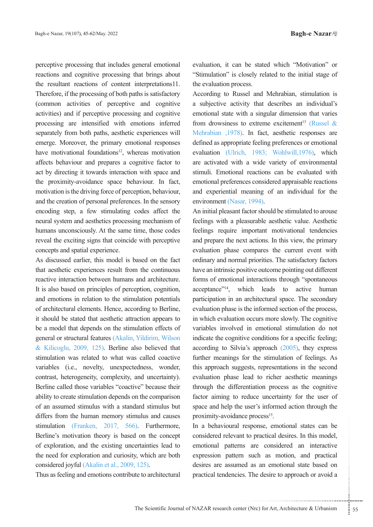perceptive processing that includes general emotional reactions and cognitive processing that brings about the resultant reactions of content interpretations 11. Therefore, if the processing of both paths is satisfactory (common activities of perceptive and cognitive activities) and if perceptive processing and cognitive processing are intensified with emotions inferred separately from both paths, aesthetic experiences will emerge. Moreover, the primary emotional responses have motivational foundations<sup>12</sup>, whereas motivation affects behaviour and prepares a cognitive factor to act by directing it towards interaction with space and the proximity-avoidance space behaviour. In fact, motivation is the driving force of perception, behaviour, and the creation of personal preferences. In the sensory encoding step, a few stimulating codes affect the neural system and aesthetics processing mechanism of humans unconsciously. At the same time, those codes reveal the exciting signs that coincide with perceptive concepts and spatial experience.

As discussed earlier, this model is based on the fact that aesthetic experiences result from the continuous reactive interaction between humans and architecture. It is also based on principles of perception, cognition, and emotions in relation to the stimulation potentials of architectural elements. Hence, according to Berline, it should be stated that aesthetic attraction appears to be a model that depends on the stimulation effects of general or structural features (Akalin, Yildirim, Wilson & Kilicoglu, 2009, 125). Berline also believed that stimulation was related to what was called coactive variables (i.e., novelty, unexpectedness, wonder, contrast, heterogeneity, complexity, and uncertainty). Berline called those variables "coactive" because their ability to create stimulation depends on the comparison of an assumed stimulus with a standard stimulus but differs from the human memory stimulus and causes stimulation (Franken, 2017, 566). Furthermore, Berline's motivation theory is based on the concept of exploration, and the existing uncertainties lead to the need for exploration and curiosity, which are both considered joyful (Akalin et al., 2009, 125).

Thus as feeling and emotions contribute to architectural

evaluation, it can be stated which "Motivation" or "Stimulation" is closely related to the initial stage of the evaluation process.

According to Russel and Mehrabian, stimulation is a subjective activity that describes an individual's emotional state with a singular dimension that varies from drowsiness to extreme excitement<sup>13</sup> (Russel & Mehrabian ,1978). In fact, aesthetic responses are defined as appropriate feeling preferences or emotional evaluation (Ulrich, 1983; Wohlwill, 1976), which are activated with a wide variety of environmental stimuli. Emotional reactions can be evaluated with emotional preferences considered appraisable reactions and experiential meaning of an individual for the environment (Nasar, 1994).

An initial pleasant factor should be stimulated to arouse feelings with a pleasurable aesthetic value. Aesthetic feelings require important motivational tendencies and prepare the next actions. In this view, the primary evaluation phase compares the current event with ordinary and normal priorities. The satisfactory factors have an intrinsic positive outcome pointing out different forms of emotional interactions through "spontaneous acceptance"<sup>14</sup>, which leads to active human participation in an architectural space. The secondary evaluation phase is the informed section of the process, in which evaluation occurs more slowly. The cognitive variables involved in emotional stimulation do not indicate the cognitive conditions for a specific feeling; according to Silvia's approach  $(2005)$ , they express further meanings for the stimulation of feelings. As this approach suggests, representations in the second evaluation phase lead to richer aesthetic meanings through the differentiation process as the cognitive factor aiming to reduce uncertainty for the user of space and help the user's informed action through the proximity-avoidance process<sup>15</sup>.

al response, emotional states can be<br>vant to practical desires. In this model,<br>erns are considered an interactive<br>tern such as motion, and practical<br>umed as an emotional state based on<br>cies. The desire to approach or avoid In a behavioural response, emotional states can be considered relevant to practical desires. In this model, emotional patterns are considered an interactive expression pattern such as motion, and practical desires are assumed as an emotional state based on practical tendencies. The desire to approach or avoid a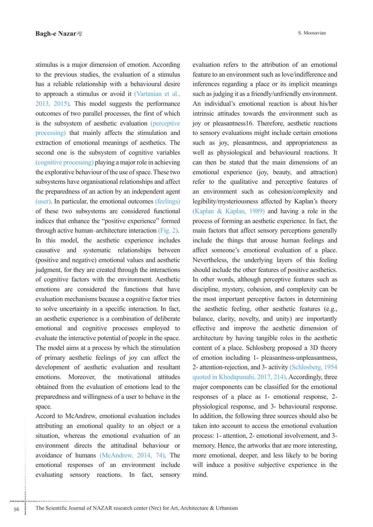stimulus is a major dimension of emotion. According to the previous studies, the evaluation of a stimulus has a reliable relationship with a behavioural desire to approach a stimulus or avoid it (Vartanian et al., 2013, 2015). This model suggests the performance outcomes of two parallel processes, the first of which is the subsystem of aesthetic evaluation (perceptive processing) that mainly affects the stimulation and extraction of emotional meanings of aesthetics. The second one is the subsystem of cognitive variables  $(c$ ognitive processing) playing a major role in achieving the explorative behaviour of the use of space. These two subsystems have organisational relationships and affect the preparedness of an action by an independent agent (user). In particular, the emotional outcomes (feelings) of these two subsystems are considered functional indices that enhance the "positive experience" formed through active human-architecture interaction (Fig. 2). In this model, the aesthetic experience includes causative and systematic relationships between (positive and negative) emotional values and aesthetic judgment, for they are created through the interactions of cognitive factors with the environment. Aesthetic emotions are considered the functions that have evaluation mechanisms because a cognitive factor tries to solve uncertainty in a specific interaction. In fact, an aesthetic experience is a combination of deliberate emotional and cognitive processes employed to evaluate the interactive potential of people in the space. The model aims at a process by which the stimulation of primary aesthetic feelings of joy can affect the development of aesthetic evaluation and resultant emotions. Moreover, the motivational attitudes obtained from the evaluation of emotions lead to the preparedness and willingness of a user to behave in the space.

Accord to McAndrew, emotional evaluation includes attributing an emotional quality to an object or a situation, whereas the emotional evaluation of an environment directs the attitudinal behaviour or avoidance of humans (McAndrew, 2014, 74). The emotional responses of an environment include evaluating sensory reactions. In fact, sensory

evaluation refers to the attribution of an emotional feature to an environment such as love/indifference and inferences regarding a place or its implicit meanings such as judging it as a friendly/unfriendly environment. An individual's emotional reaction is about his/her intrinsic attitudes towards the environment such as joy or pleasantness 16. Therefore, aesthetic reactions to sensory evaluations might include certain emotions such as joy, pleasantness, and appropriateness as well as physiological and behavioural reactions. It can then be stated that the main dimensions of an emotional experience (joy, beauty, and attraction) refer to the qualitative and perceptive features of an environment such as cohesion/complexity and legibility/mysteriousness affected by Kaplan's theory (Kaplan & Kaplan, 1989) and having a role in the process of forming an aesthetic experience. In fact, the main factors that affect sensory perceptions generally include the things that arouse human feelings and affect someone's emotional evaluation of a place. Nevertheless, the underlying layers of this feeling should include the other features of positive aesthetics. In other words, although perceptive features such as discipline, mystery, cohesion, and complexity can be the most important perceptive factors in determining the aesthetic feeling, other aesthetic features (e.g., balance, clarity, novelty, and unity) are importantly effective and improve the aesthetic dimension of architecture by having tangible roles in the aesthetic content of a place. Schlosberg proposed a 3D theory of emotion including 1- pleasantness-unpleasantness, 2- attention-rejection, and 3- activity (Schlosberg, 1954) quoted in Khodapanahi, 2017, 214). Accordingly, three major components can be classified for the emotional responses of a place as 1- emotional response, 2physiological response, and 3- behavioural response. In addition, the following three sources should also be taken into account to access the emotional evaluation process: 1- attention, 2- emotional involvement, and 3memory. Hence, the artworks that are more interesting, more emotional, deeper, and less likely to be boring will induce a positive subjective experience in the mind.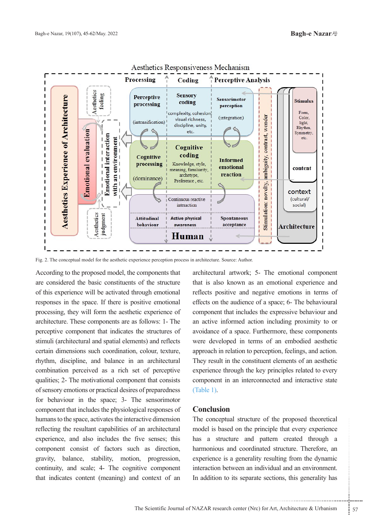

Aesthetics Responsiveness Mechanism

Fig. 2. The conceptual model for the aesthetic experience perception process in architecture. Source: Author.

According to the proposed model, the components that are considered the basic constituents of the structure of this experience will be activated through emotional responses in the space. If there is positive emotional processing, they will form the aesthetic experience of architecture. These components are as follows: 1- The perceptive component that indicates the structures of stimuli (architectural and spatial elements) and reflects certain dimensions such coordination, colour, texture, rhythm, discipline, and balance in an architectural combination perceived as a rich set of perceptive qualities; 2- The motivational component that consists of sensory emotions or practical desires of preparedness for behaviour in the space; 3- The sensorimotor component that includes the physiological responses of humans to the space, activates the interactive dimension reflecting the resultant capabilities of an architectural experience, and also includes the five senses; this component consist of factors such as direction, gravity, balance, stability, motion, progression, continuity, and scale; 4- The cognitive component that indicates content (meaning) and context of an

architectural artwork; 5- The emotional component that is also known as an emotional experience and reflects positive and negative emotions in terms of effects on the audience of a space; 6- The behavioural component that includes the expressive behaviour and an active informed action including proximity to or avoidance of a space. Furthermore, these components were developed in terms of an embodied aesthetic approach in relation to perception, feelings, and action. They result in the constituent elements of an aesthetic experience through the key principles related to every component in an interconnected and interactive state  $(Table 1).$ 

## **Conclusion**

structure of the proposed theoretical<br>on the principle that every experience<br>read and pattern created through a<br>d coordinated structure. Therefore, an<br>generality resulting from the dynamic<br>veen an individual and an environ The conceptual structure of the proposed theoretical model is based on the principle that every experience has a structure and pattern created through a harmonious and coordinated structure. Therefore, an experience is a generality resulting from the dynamic interaction between an individual and an environment. In addition to its separate sections, this generality has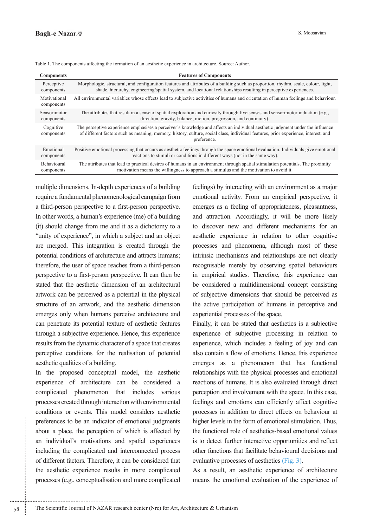| <b>Components</b>          | <b>Features of Components</b>                                                                                                                                                                                                                                                      |  |
|----------------------------|------------------------------------------------------------------------------------------------------------------------------------------------------------------------------------------------------------------------------------------------------------------------------------|--|
| Perceptive                 | Morphologic, structural, and configuration features and attributes of a building such as proportion, rhythm, scale, colour, light,                                                                                                                                                 |  |
| components                 | shade, hierarchy, engineering/spatial system, and locational relationships resulting in perceptive experiences.                                                                                                                                                                    |  |
| Motivational<br>components | All environmental variables whose effects lead to subjective activities of humans and orientation of human feelings and behaviour.                                                                                                                                                 |  |
| Sensorimotor               | The attributes that result in a sense of spatial exploration and curiosity through five senses and sensorimotor induction (e.g.,                                                                                                                                                   |  |
| components                 | direction, gravity, balance, motion, progression, and continuity).                                                                                                                                                                                                                 |  |
| Cognitive<br>components    | The perceptive experience emphasises a perceiver's knowledge and affects an individual aesthetic judgment under the influence<br>of different factors such as meaning, memory, history, culture, social class, individual features, prior experience, interest, and<br>preference. |  |
| Emotional                  | Positive emotional processing that occurs as aesthetic feelings through the space emotional evaluation. Individuals give emotional                                                                                                                                                 |  |
| components                 | reactions to stimuli or conditions in different ways (not in the same way).                                                                                                                                                                                                        |  |
| <b>Behavioural</b>         | The attributes that lead to practical desires of humans in an environment through spatial stimulation potentials. The proximity                                                                                                                                                    |  |
| components                 | motivation means the willingness to approach a stimulus and the motivation to avoid it.                                                                                                                                                                                            |  |

Table 1. The components affecting the formation of an aesthetic experience in architecture. Source: Author.

multiple dimensions. In-depth experiences of a building require a fundamental phenomenological campaign from a third-person perspective to a first-person perspective. In other words, a human's experience (me) of a building  $(it)$  should change from me and it as a dichotomy to a "unity of experience", in which a subject and an object are merged. This integration is created through the potential conditions of architecture and attracts humans; therefore, the user of space reaches from a third-person perspective to a first-person perspective. It can then be stated that the aesthetic dimension of an architectural artwork can be perceived as a potential in the physical structure of an artwork, and the aesthetic dimension emerges only when humans perceive architecture and can penetrate its potential texture of aesthetic features through a subjective experience. Hence, this experience results from the dynamic character of a space that creates perceptive conditions for the realisation of potential aesthetic qualities of a building.

In the proposed conceptual model, the aesthetic experience of architecture can be considered a complicated phenomenon that includes various processes created through interaction with environmental conditions or events. This model considers aesthetic preferences to be an indicator of emotional judgments about a place, the perception of which is affected by an individual's motivations and spatial experiences including the complicated and interconnected process of different factors. Therefore, it can be considered that the aesthetic experience results in more complicated processes (e.g., conceptualisation and more complicated feelings) by interacting with an environment as a major emotional activity. From an empirical perspective, it emerges as a feeling of appropriateness, pleasantness, and attraction. Accordingly, it will be more likely to discover new and different mechanisms for an aesthetic experience in relation to other cognitive processes and phenomena, although most of these intrinsic mechanisms and relationships are not clearly recognisable merely by observing spatial behaviours in empirical studies. Therefore, this experience can be considered a multidimensional concept consisting of subjective dimensions that should be perceived as the active participation of humans in perceptive and experiential processes of the space.

Finally, it can be stated that aesthetics is a subjective experience of subjective processing in relation to experience, which includes a feeling of joy and can also contain a flow of emotions. Hence, this experience emerges as a phenomenon that has functional relationships with the physical processes and emotional reactions of humans. It is also evaluated through direct perception and involvement with the space. In this case, feelings and emotions can efficiently affect cognitive processes in addition to direct effects on behaviour at higher levels in the form of emotional stimulation. Thus, the functional role of aesthetics-based emotional values is to detect further interactive opportunities and reflect other functions that facilitate behavioural decisions and evaluative processes of aesthetics (Fig. 3).

As a result, an aesthetic experience of architecture means the emotional evaluation of the experience of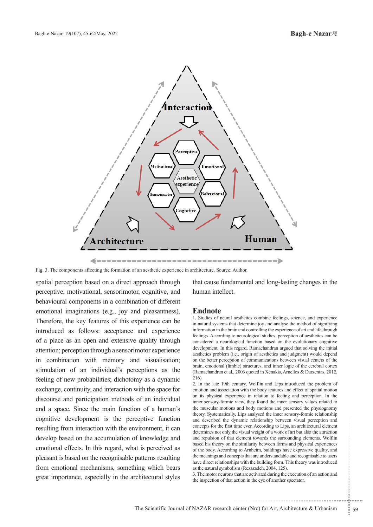

Fig. 3. The components affecting the formation of an aesthetic experience in architecture. Source: Author.

spatial perception based on a direct approach through perceptive, motivational, sensorimotor, cognitive, and behavioural components in a combination of different emotional imaginations (e.g., joy and pleasantness). Therefore, the key features of this experience can be introduced as follows: acceptance and experience of a place as an open and extensive quality through attention; perception through a sensorimotor experience in combination with memory and visualisation; stimulation of an individual's perceptions as the feeling of new probabilities; dichotomy as a dynamic exchange, continuity, and interaction with the space for discourse and participation methods of an individual and a space. Since the main function of a human's cognitive development is the perceptive function resulting from interaction with the environment, it can develop based on the accumulation of knowledge and emotional effects. In this regard, what is perceived as pleasant is based on the recognisable patterns resulting from emotional mechanisms, something which bears great importance, especially in the architectural styles

that cause fundamental and long-lasting changes in the human intellect.

## **Endnote**

1. Studies of neural aesthetics combine feelings, science, and experience in natural systems that determine joy and analyse the method of signifying information in the brain and controlling the experience of art and life through feelings. According to neurological studies, perception of aesthetics can be considered a neurological function based on the evolutionary cognitive development. In this regard, Ramachandran argued that solving the initial aesthetics problem (i.e., origin of aesthetics and judgment) would depend on the better perception of communications between visual centers of the brain, emotional (limbic) structures, and inner logic of the cerebral cortex (Ramachandran et al., 2003 quoted in Xenakis, Arnellos & Darzentas, 2012, 216).

mamic relationship between visual perception and<br>ime ever. According to Lips, an architectural element<br>e visual weight of a work of art but also the attraction<br>element towards the surrounding elements. Wolflin<br>e similarity 2. In the late 19th century, Wolflin and Lips introduced the problem of emotion and association with the body features and effect of spatial motion on its physical experience in relation to feeling and perception. In the inner sensory-formic view, they found the inner sensory values related to the muscular motions and body motions and presented the physiognomy theory. Systematically, Lips analysed the inner sensory-formic relationship and described the dynamic relationship between visual perception and concepts for the first time ever. According to Lips, an architectural element determines not only the visual weight of a work of art but also the attraction and repulsion of that element towards the surrounding elements. Wolflin based his theory on the similarity between forms and physical experiences of the body. According to Arnheim, buildings have expressive quality, and the meanings and concepts that are understandable and recognisable to users have direct relationships with the building form. This theory was introduced as the natural symbolism (Rezazadeh, 2004, 125).

3. The motor neurons that are activated during the execution of an action and the inspection of that action in the eye of another spectator.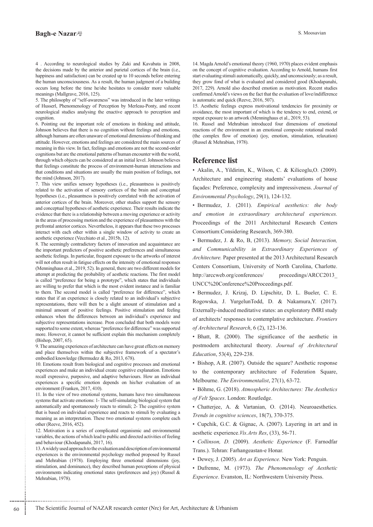### **Bagh-e Nazar**

5. The philosophy of "self-awareness" was introduced in the later writings of Husserl, Phenomenology of Perception by Merleau-Ponty, and recent neurological studies analysing the enactive approach to perception and .cognition

6. Pointing out the important role of emotions in thinking and attitude, Johnson believes that there is no cognition without feelings and emotions, although humans are often unaware of emotional dimensions of thinking and attitude. However, emotions and feelings are considered the main sources of meaning in this view. In fact, feelings and emotions are not the second-order cognitions but are the emotional patterns of human encounter with the world, through which objects can be considered at an initial level. Johnson believes that feelings constitute the process of environment-human interactions and that conditions and situations are usually the main position of feelings, not the mind (Johnson,  $2017$ ).

7. This view unifies sensory hypotheses (i.e., pleasantness is positively related to the activation of sensory cortices of the brain and conceptual hypotheses (i.e., pleasantness is positively correlated with the activation of anterior cortices of the brain. Moreover, other studies support the sensory and conceptual hypotheses of aesthetic experience. Their results indicate the evidence that there is a relationship between a moving experience or activity in the areas of processing motion and the experience of pleasantness with the prefrontal anterior cortices. Nevertheless, it appears that these two processes interact with each other within a single window of activity to create an aesthetic experience (Vecchiato et al., 2015b, 12).

8. The seemingly contradictory factors of innovation and acquaintance are the important predictors of positive aesthetic preferences and simultaneous aesthetic feelings. In particular, frequent exposure to the artworks of interest will not often result in fatigue effects on the intensity of emotional responses (Menninghaus et al., 2019, 52). In general, there are two different models for attempt at predicting the probability of aesthetic reactions. The first model is called "preference for being a prototype", which states that individuals are willing to prefer that which is the most evident instance and is familiar to them. The second model is called "preference for difference", which states that if an experience is closely related to an individual's subjective representations, there will then be a slight amount of stimulation and a minimal amount of positive feelings. Positive stimulation and feeling enhances when the differences between an individual's experience and subjective representations increase. Pron concluded that both models were supported to some extent, whereas "preference for difference" was supported more. However, it cannot be sufficient explain this mechanism completely (Bishop, 2007, 65).

9. The amazing experiences of architecture can have great effects on memory and place themselves within the subjective framework of a spectator's embodied knowledge (Bermudez & Ro, 2013, 678).

10. Emotions result from biological and cognitive processes and emotional experiences and make an individual create cognitive explanation. Emotions recall expressive, purposive, and adaptive behaviours. How an individual experiences a specific emotion depends on his/her evaluation of an environment (Franken, 2017, 410).

11. In the view of two emotional systems, humans have two simultaneous systems that activate emotions: 1- The self-simulating biological system that automatically and spontaneously reacts to stimuli; 2- The cognitive system that is based on individual experience and reacts to stimuli by evaluating a meaning as an interpretation. These two emotional systems complete each other (Reeve, 2016, 452).

12. Motivation is a series of complicated organismic and environmental variables, the actions of which lead to public and directed activities of feeling and behaviour (Khodapanahi, 2017, 16).

13. A widely used approach to the evaluation and description of environmental experiences is the environmental psychology method proposed by Russel and Mehrabian (1978). Employing three emotional dimensions (joy, stimulation, and dominance), they described human perceptions of physical environments indicating emotional states (preferences and joy) (Russel & Mehrabian, 1978).

14. Magda Arnold's emotional theory (1960, 1970) places evident emphasis on the concept of cognitive evaluation. According to Arnold, humans first start evaluating stimuli automatically, quickly, and unconsciously; as a result, they grow fond of what is evaluated and considered good (Khodapanahi, 2017, 229). Arnold also described emotion as motivation. Recent studies confirmed Arnold's views on the fact that the evaluation of love/indifference is automatic and quick (Reeve, 2016, 507).

15. Aesthetic feelings express motivational tendencies for proximity or avoidance, the most important of which is the tendency to end, extend, or repeat exposure to an artwork (Menninghaus et al., 2019, 53).

16. Russel and Mehrabian introduced four dimensions of emotional reactions of the environment in an emotional composite rotational model (the complex flow of emotion) (joy, emotion, stimulation, relaxation) (Russel & Mehrabian, 1978).

## **Reference** list

 $\bullet$  Akalin, A., Yildirim, K., Wilson, C. & Kilicoglu, O. (2009). Architecture and engineering students' evaluations of house façades: Preference, complexity and impressiveness. Journal of Environmental Psychology, 29(1), 124-132.

• Bermudez, J. (2011). *Empirical aesthetics: the body* and emotion in extraordinary architectural experiences. Proceedings of the 2011 Architectural Research Centers Consortium:Considering Research, 369-380.

**• Bermudez, J. & Ro, B, (2013). Memory, Social Interaction,** and Communicability in Extraordinary Experiences of Architecture. Paper presented at the 2013 Architectural Research Centers Consortium, University of North Carolina, Charlotte. http://arccweb.org/conferences/org.proceedings/ARCC2013\_ UNCC%20Conference%20Proceedings.pdf.

· Bermudez, J. Krizaj, D. Lipschitz, D. L. Bueler, C. E. Rogowska, J. YurgelunTodd, D. & Nakamura, Y. (2017). Externally-induced meditative states: an exploratory fMRI study of architects' responses to contemplative architecture. *Frontiers* of Architectural Research, 6 (2), 123-136.

· Bhatt, R. (2000). The significance of the aesthetic in postmodern architectural theory. Journal of Architectural Education, 53(4), 229-238.

• Bishop, A.R. (2007). Outside the square? Aesthetic response to the contemporary architecture of Federation Square, Melbourne. *The Environmentalist*, 27(1), 63-72.

• Böhme, G. (2018). Atmospheric Architectures: The Aesthetics of Felt Spaces. London: Routledge.

• Chatterjee, A. & Vartanian, O. (2014). Neuroaesthetics. Trends in cognitive sciences, 18(7), 370-375.

• Cupchik, G.C. & Gignac, A. (2007). Layering in art and in aesthetic experience. Vis. Arts Res, (33), 56-71.

• Collinson, D. (2009). Aesthetic Experience (F. Farnodfar Trans.). Tehran: Farhangeastan-e Honar.

• Dewey, J. (2005). Art as *Experience*. New York: Penguin.

• Dufrenne, M. (1973). The Phenomenology of Aesthetic Experience. Evanston, IL: Northwestern University Press.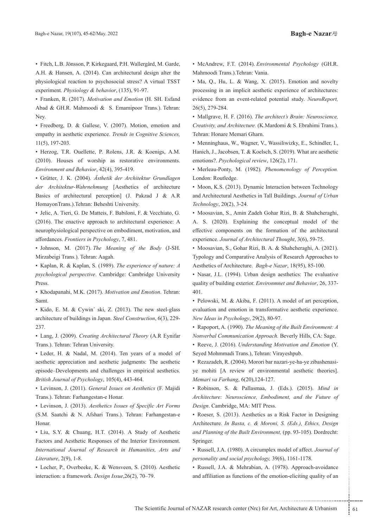• Fitch, L.B. Jönsson, P. Kirkegaard, P.H. Wallergård, M. Garde, A.H. & Hansen, A. (2014). Can architectural design alter the physiological reaction to psychosocial stress? A virtual TSST experiment. Physiology & behavior, (135), 91-97.

**• Franken, R. (2017).** Motivation and Emotion (H. SH. Esfand Abad & GH.R. Mahmoodi & S. Emamipoor Trans.). Tehran: Ney.

• Freedberg, D. & Gallese, V. (2007). Motion, emotion and empathy in aesthetic experience. Trends in Cognitive Sciences,  $11(5)$ , 197-203.

. Herzog, T.R. Ouellette, P. Rolens, J.R. & Koenigs, A.M.  $(2010)$ . Houses of worship as restorative environments. Environment and Behavior, 42(4), 395-419.

• Grütter, J. K. (2004). Ästhetik der Architektur Grundlagen der Architektur-Wahrnehmung [Aesthetics of architecture Basics of architectural perception [J. Pakzad J & A.R HomayonTrans.).Tehran: Beheshti University.

• Jelic, A. Tieri, G. De Matteis, F. Babiloni, F. & Vecchiato, G.  $(2016)$ . The enactive approach to architectural experience: A neurophysiological perspective on embodiment, motivation, and affordances. Frontiers in Psychology, 7, 481.

• Johnson, M. (2017). The Meaning of the Body (J-SH. Mirzabeigi Trans.). Tehran: Aagah.

• Kaplan, R. & Kaplan, S. (1989). The experience of nature: A psychological perspective. Cambridge: Cambridge University Press.

• Khodapanahi, M.K. (2017). *Motivation and Emotion*. Tehran: .Samt

• Kido, E. M. & Cywin' ski, Z. (2013). The new steel-glass architecture of buildings in Japan. Steel Construction, 6(3), 229-237.

• Lang, J. (2009). Creating Architectural Theory (A.R Eynifar Trans.). Tehran: Tehran University.

• Leder, H. & Nadal, M. (2014). Ten years of a model of aesthetic appreciation and aesthetic judgments: The aesthetic episode–Developments and challenges in empirical aesthetics. British Journal of Psychology, 105(4), 443-464.

• Levinson, J. (2011). General Issues on Aesthetics (F. Majidi Trans.). Tehran: Farhangestan-e Honar.

• Levinson, J. (2013). Aesthetics Issues of Specific Art Forms (S.M. Saatchi & N. Afshari Trans.). Tehran: Farhangestan-e Honar.

• Liu, S.Y. & Chuang, H.T. (2014). A Study of Aesthetic Factors and Aesthetic Responses of the Interior Environment. *International Journal of Research in Humanities, Arts and* Literature, 2(9), 1-8.

• Locher, P., Overbeeke, K. & Wensveen, S. (2010). Aesthetic interaction: a framework. *Design Issue*, 26(2), 70-79.

• McAndrew, F.T. (2014). *Environmental Psychology* (GH.R. Mahmoodi Trans.).Tehran: Vania.

• Ma, Q., Hu, L. & Wang, X. (2015). Emotion and novelty processing in an implicit aesthetic experience of architectures: evidence from an event-related potential study. NeuroReport, 26(5), 279-284.

• Mallgrave, H. F. (2016). The architect's Brain: Neuroscience, Creativity, and Architecture. (K.Mardomi & S. Ebrahimi Trans.). Tehran: Honare Memari Gharn.

• Menninghaus, W., Wagner, V., Wassiliwizky, E., Schindler, I., Hanich, J., Jacobsen, T. & Koelsch, S. (2019). What are aesthetic emotions?. Psychological review, 126(2), 171.

• Merleau-Ponty, M. (1982). Phenomenology of Perception. London: Routledge.

• Moon, K.S. (2013). Dynamic Interaction between Technology and Architectural Aesthetics in Tall Buildings. Journal of Urban Technology, 20(2), 3-24.

• Moosavian, S., Amin Zadeh Gohar Rizi, B. & Shahcheraghi, A. S. (2020). Explaining the conceptual model of the effective components on the formation of the architectural experience. Journal of Architectural Thought, 3(6), 59-75.

• Moosavian, S., Gohar Rizi, B. A. & Shahcheraghi, A. (2021). Typology and Comparative Analysis of Research Approaches to Aesthetics of Architecture. Bagh-e Nazar, 18(95), 85-100.

• Nasar, J.L. (1994). Urban design aesthetics: The evaluative quality of building exterior. Environmnet and Behavior, 26, 337-401.

• Pelowski, M. & Akiba, F. (2011). A model of art perception, evaluation and emotion in transformative aesthetic experience. New Ideas in Psychology, 29(2), 80-97.

• Rapoport, A. (1990). *The Meaning of the Built Environment: A Nonverbal Communication Approach. Beverly Hills, CA: Sage.* 

• Reeve, J. (2016). *Understanding Motivation and Emotion* (Y. Seyed Mohmmadi Trans.), Tehran: Virayeshpub.

ye mohiti [A review of environmental aesthetic theories]. • Rezazadeh, R. (2004). Morori bar nazari-ye-ha-ye zibashenasi-Memari va Farhang, 6(20), 124-127.

• Robinson, S. & Pallasmaa, J. (Eds.). (2015). Mind in *Architecture: Neuroscience, Embodiment, and the Future of* Design. Cambridge, MA: MIT Press.

asta, c. & Moroni, S. (Eds.), Ethics, Design<br>
e Built Environment, (pp. 93-105). Dordrecht:<br>
80). A circumplex model of affect. Journal of<br>
cial psychology, 39(6), 1161-1178.<br>
Mehrabian, A. (1978). Approach-avoidance<br>
unct • Roeser, S. (2013). Aesthetics as a Risk Factor in Designing Architecture. *In Basta, c. & Moroni, S. (Eds.), Ethics, Design* and Planning of the Built Environment, (pp. 93-105). Dordrecht: Springer.

• Russell, J.A. (1980). A circumplex model of affect. *Journal of* personality and social psychology, 39(6), 1161-1178.

• Russell, J.A. & Mehrabian, A. (1978). Approach-avoidance and affiliation as functions of the emotion-eliciting quality of an